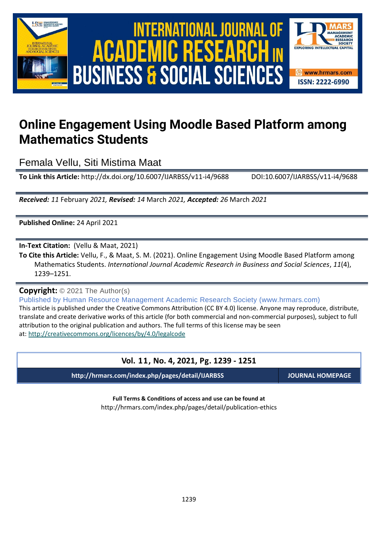

# International Journal of Academic Research in Business and Social Sciences **Vol. 1 1 , No. 4, 2021, E-ISSN: 2222-6990 © 2021 HRMARS ACADEMIC BUSINESS & SOCIAL SCIENCES**



# **Online Engagement Using Moodle Based Platform among Mathematics Students**

Femala Vellu, Siti Mistima Maat

**To Link this Article:** http://dx.doi.org/10.6007/IJARBSS/v11-i4/9688 DOI:10.6007/IJARBSS/v11-i4/9688

*Received: 11* February *2021, Revised: 14* March *2021, Accepted: 26* March *2021*

**Published Online:** 24 April 2021

**In-Text Citation:** (Vellu & Maat, 2021)

**To Cite this Article:** Vellu, F., & Maat, S. M. (2021). Online Engagement Using Moodle Based Platform among Mathematics Students. *International Journal Academic Research in Business and Social Sciences*, *11*(4), 1239–1251.

**Copyright:** © 2021 The Author(s)

Published by Human Resource Management Academic Research Society (www.hrmars.com) This article is published under the Creative Commons Attribution (CC BY 4.0) license. Anyone may reproduce, distribute, translate and create derivative works of this article (for both commercial and non-commercial purposes), subject to full attribution to the original publication and authors. The full terms of this license may be seen at: <http://creativecommons.org/licences/by/4.0/legalcode>

# **Vol. 11, No. 4, 2021, Pg. 1239 - 1251**

**http://hrmars.com/index.php/pages/detail/IJARBSS JOURNAL HOMEPAGE**

**Full Terms & Conditions of access and use can be found at** http://hrmars.com/index.php/pages/detail/publication-ethics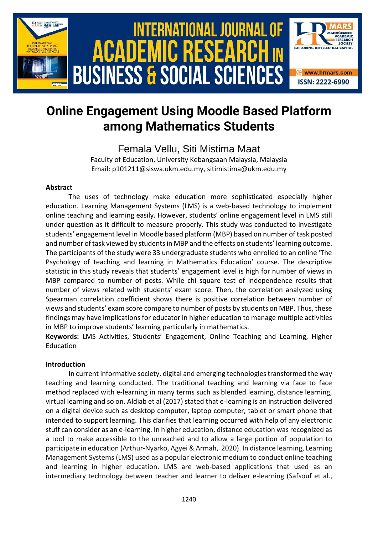

# **Online Engagement Using Moodle Based Platform among Mathematics Students**

Femala Vellu, Siti Mistima Maat

Faculty of Education, University Kebangsaan Malaysia, Malaysia Email: p101211@siswa.ukm.edu.my, sitimistima@ukm.edu.my

### **Abstract**

The uses of technology make education more sophisticated especially higher education. Learning Management Systems (LMS) is a web-based technology to implement online teaching and learning easily. However, students' online engagement level in LMS still under question as it difficult to measure properly. This study was conducted to investigate students' engagement level in Moodle based platform (MBP) based on number of task posted and number of task viewed by students in MBP and the effects on students' learning outcome. The participants of the study were 33 undergraduate students who enrolled to an online 'The Psychology of teaching and learning in Mathematics Education' course. The descriptive statistic in this study reveals that students' engagement level is high for number of views in MBP compared to number of posts. While chi square test of independence results that number of views related with students' exam score. Then, the correlation analyzed using Spearman correlation coefficient shows there is positive correlation between number of views and students' exam score compare to number of posts by students on MBP. Thus, these findings may have implications for educator in higher education to manage multiple activities in MBP to improve students' learning particularly in mathematics.

**Keywords:** LMS Activities, Students' Engagement, Online Teaching and Learning, Higher Education

# **Introduction**

In current informative society, digital and emerging technologies transformed the way teaching and learning conducted. The traditional teaching and learning via face to face method replaced with e-learning in many terms such as blended learning, distance learning, virtual learning and so on. Aldiab et al (2017) stated that e-learning is an instruction delivered on a digital device such as desktop computer, laptop computer, tablet or smart phone that intended to support learning. This clarifies that learning occurred with help of any electronic stuff can consider as an e-learning. In higher education, distance education was recognized as a tool to make accessible to the unreached and to allow a large portion of population to participate in education (Arthur-Nyarko, Agyei & Armah, 2020). In distance learning, Learning Management Systems (LMS) used as a popular electronic medium to conduct online teaching and learning in higher education. LMS are web-based applications that used as an intermediary technology between teacher and learner to deliver e-learning (Safsouf et al.,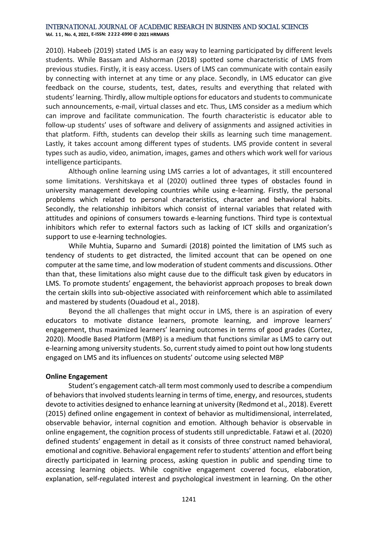**Vol. 1 1 , No. 4, 2021, E-ISSN: 2222-6990 © 2021 HRMARS**

2010). Habeeb (2019) stated LMS is an easy way to learning participated by different levels students. While Bassam and Alshorman (2018) spotted some characteristic of LMS from previous studies. Firstly, it is easy access. Users of LMS can communicate with contain easily by connecting with internet at any time or any place. Secondly, in LMS educator can give feedback on the course, students, test, dates, results and everything that related with students' learning. Thirdly, allow multiple options for educators and students to communicate such announcements, e-mail, virtual classes and etc. Thus, LMS consider as a medium which can improve and facilitate communication. The fourth characteristic is educator able to follow-up students' uses of software and delivery of assignments and assigned activities in that platform. Fifth, students can develop their skills as learning such time management. Lastly, it takes account among different types of students. LMS provide content in several types such as audio, video, animation, images, games and others which work well for various intelligence participants.

Although online learning using LMS carries a lot of advantages, it still encountered some limitations. Vershitskaya et al (2020) outlined three types of obstacles found in university management developing countries while using e-learning. Firstly, the personal problems which related to personal characteristics, character and behavioral habits. Secondly, the relationship inhibitors which consist of internal variables that related with attitudes and opinions of consumers towards e-learning functions. Third type is contextual inhibitors which refer to external factors such as lacking of ICT skills and organization's support to use e-learning technologies.

While Muhtia, Suparno and Sumardi (2018) pointed the limitation of LMS such as tendency of students to get distracted, the limited account that can be opened on one computer at the same time, and low moderation of student comments and discussions. Other than that, these limitations also might cause due to the difficult task given by educators in LMS. To promote students' engagement, the behaviorist approach proposes to break down the certain skills into sub-objective associated with reinforcement which able to assimilated and mastered by students (Ouadoud et al., 2018).

Beyond the all challenges that might occur in LMS, there is an aspiration of every educators to motivate distance learners, promote learning, and improve learners' engagement, thus maximized learners' learning outcomes in terms of good grades (Cortez, 2020). Moodle Based Platform (MBP) is a medium that functions similar as LMS to carry out e-learning among university students. So, current study aimed to point out how long students engaged on LMS and its influences on students' outcome using selected MBP

#### **Online Engagement**

Student's engagement catch-all term most commonly used to describe a compendium of behaviors that involved students learning in terms of time, energy, and resources, students devote to activities designed to enhance learning at university (Redmond et al., 2018). Everett (2015) defined online engagement in context of behavior as multidimensional, interrelated, observable behavior, internal cognition and emotion. Although behavior is observable in online engagement, the cognition process of students still unpredictable. Fatawi et al. (2020) defined students' engagement in detail as it consists of three construct named behavioral, emotional and cognitive. Behavioral engagement refer to students' attention and effort being directly participated in learning process, asking question in public and spending time to accessing learning objects. While cognitive engagement covered focus, elaboration, explanation, self-regulated interest and psychological investment in learning. On the other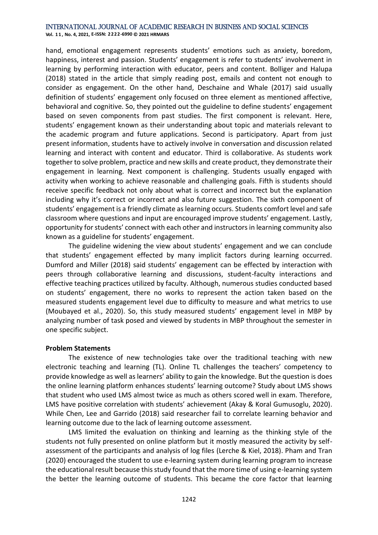**Vol. 1 1 , No. 4, 2021, E-ISSN: 2222-6990 © 2021 HRMARS**

hand, emotional engagement represents students' emotions such as anxiety, boredom, happiness, interest and passion. Students' engagement is refer to students' involvement in learning by performing interaction with educator, peers and content. Bolliger and Halupa (2018) stated in the article that simply reading post, emails and content not enough to consider as engagement. On the other hand, Deschaine and Whale (2017) said usually definition of students' engagement only focused on three element as mentioned affective, behavioral and cognitive. So, they pointed out the guideline to define students' engagement based on seven components from past studies. The first component is relevant. Here, students' engagement known as their understanding about topic and materials relevant to the academic program and future applications. Second is participatory. Apart from just present information, students have to actively involve in conversation and discussion related learning and interact with content and educator. Third is collaborative. As students work together to solve problem, practice and new skills and create product, they demonstrate their engagement in learning. Next component is challenging. Students usually engaged with activity when working to achieve reasonable and challenging goals. Fifth is students should receive specific feedback not only about what is correct and incorrect but the explanation including why it's correct or incorrect and also future suggestion. The sixth component of students' engagement is a friendly climate as learning occurs. Students comfort level and safe classroom where questions and input are encouraged improve students' engagement. Lastly, opportunity for students' connect with each other and instructors in learning community also known as a guideline for students' engagement.

The guideline widening the view about students' engagement and we can conclude that students' engagement effected by many implicit factors during learning occurred. Dumford and Miller (2018) said students' engagement can be effected by interaction with peers through collaborative learning and discussions, student-faculty interactions and effective teaching practices utilized by faculty. Although, numerous studies conducted based on students' engagement, there no works to represent the action taken based on the measured students engagement level due to difficulty to measure and what metrics to use (Moubayed et al., 2020). So, this study measured students' engagement level in MBP by analyzing number of task posed and viewed by students in MBP throughout the semester in one specific subject.

#### **Problem Statements**

The existence of new technologies take over the traditional teaching with new electronic teaching and learning (TL). Online TL challenges the teachers' competency to provide knowledge as well as learners' ability to gain the knowledge. But the question is does the online learning platform enhances students' learning outcome? Study about LMS shows that student who used LMS almost twice as much as others scored well in exam. Therefore, LMS have positive correlation with students' achievement (Akay & Koral Gumusoglu, 2020). While Chen, Lee and Garrido (2018) said researcher fail to correlate learning behavior and learning outcome due to the lack of learning outcome assessment.

LMS limited the evaluation on thinking and learning as the thinking style of the students not fully presented on online platform but it mostly measured the activity by selfassessment of the participants and analysis of log files (Lerche & Kiel, 2018). Pham and Tran (2020) encouraged the student to use e-learning system during learning program to increase the educational result because this study found that the more time of using e-learning system the better the learning outcome of students. This became the core factor that learning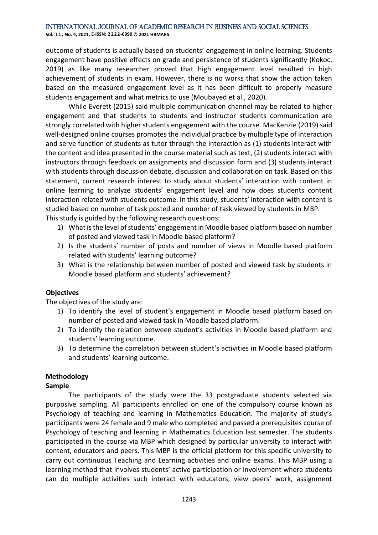**Vol. 1 1 , No. 4, 2021, E-ISSN: 2222-6990 © 2021 HRMARS**

outcome of students is actually based on students' engagement in online learning. Students engagement have positive effects on grade and persistence of students significantly (Kokoc, 2019) as like many researcher proved that high engagement level resulted in high achievement of students in exam. However, there is no works that show the action taken based on the measured engagement level as it has been difficult to properly measure students engagement and what metrics to use (Moubayed et al., 2020).

While Everett (2015) said multiple communication channel may be related to higher engagement and that students to students and instructor students communication are strongly correlated with higher students engagement with the course. MacKenzie (2019) said well-designed online courses promotes the individual practice by multiple type of interaction and serve function of students as tutor through the interaction as (1) students interact with the content and idea presented in the course material such as text, (2) students interact with instructors through feedback on assignments and discussion form and (3) students interact with students through discussion debate, discussion and collaboration on task. Based on this statement, current research interest to study about students' interaction with content in online learning to analyze students' engagement level and how does students content interaction related with students outcome. In this study, students' interaction with content is studied based on number of task posted and number of task viewed by students in MBP. This study is guided by the following research questions:

- 1) What is the level of students' engagement in Moodle based platform based on number of posted and viewed task in Moodle based platform?
- 2) Is the students' number of posts and number of views in Moodle based platform related with students' learning outcome?
- 3) What is the relationship between number of posted and viewed task by students in Moodle based platform and students' achievement?

# **Objectives**

The objectives of the study are:

- 1) To identify the level of student's engagement in Moodle based platform based on number of posted and viewed task in Moodle based platform.
- 2) To identify the relation between student's activities in Moodle based platform and students' learning outcome.
- 3) To determine the correlation between student's activities in Moodle based platform and students' learning outcome.

# **Methodology**

# **Sample**

The participants of the study were the 33 postgraduate students selected via purposive sampling. All participants enrolled on one of the compulsory course known as Psychology of teaching and learning in Mathematics Education. The majority of study's participants were 24 female and 9 male who completed and passed a prerequisites course of Psychology of teaching and learning in Mathematics Education last semester. The students participated in the course via MBP which designed by particular university to interact with content, educators and peers. This MBP is the official platform for this specific university to carry out continuous Teaching and Learning activities and online exams. This MBP using a learning method that involves students' active participation or involvement where students can do multiple activities such interact with educators, view peers' work, assignment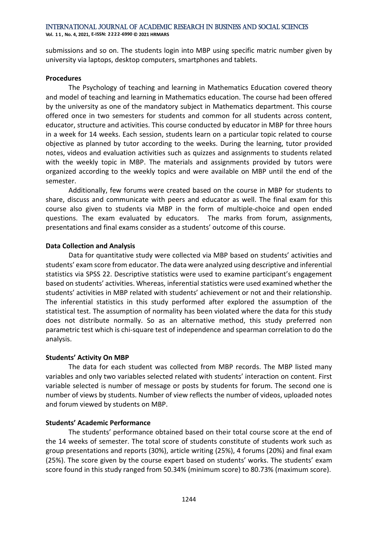**Vol. 1 1 , No. 4, 2021, E-ISSN: 2222-6990 © 2021 HRMARS**

submissions and so on. The students login into MBP using specific matric number given by university via laptops, desktop computers, smartphones and tablets.

#### **Procedures**

The Psychology of teaching and learning in Mathematics Education covered theory and model of teaching and learning in Mathematics education. The course had been offered by the university as one of the mandatory subject in Mathematics department. This course offered once in two semesters for students and common for all students across content, educator, structure and activities. This course conducted by educator in MBP for three hours in a week for 14 weeks. Each session, students learn on a particular topic related to course objective as planned by tutor according to the weeks. During the learning, tutor provided notes, videos and evaluation activities such as quizzes and assignments to students related with the weekly topic in MBP. The materials and assignments provided by tutors were organized according to the weekly topics and were available on MBP until the end of the semester.

Additionally, few forums were created based on the course in MBP for students to share, discuss and communicate with peers and educator as well. The final exam for this course also given to students via MBP in the form of multiple-choice and open ended questions. The exam evaluated by educators. The marks from forum, assignments, presentations and final exams consider as a students' outcome of this course.

#### **Data Collection and Analysis**

Data for quantitative study were collected via MBP based on students' activities and students' exam score from educator. The data were analyzed using descriptive and inferential statistics via SPSS 22. Descriptive statistics were used to examine participant's engagement based on students' activities. Whereas, inferential statistics were used examined whether the students' activities in MBP related with students' achievement or not and their relationship. The inferential statistics in this study performed after explored the assumption of the statistical test. The assumption of normality has been violated where the data for this study does not distribute normally. So as an alternative method, this study preferred non parametric test which is chi-square test of independence and spearman correlation to do the analysis.

#### **Students' Activity On MBP**

The data for each student was collected from MBP records. The MBP listed many variables and only two variables selected related with students' interaction on content. First variable selected is number of message or posts by students for forum. The second one is number of views by students. Number of view reflects the number of videos, uploaded notes and forum viewed by students on MBP.

# **Students' Academic Performance**

The students' performance obtained based on their total course score at the end of the 14 weeks of semester. The total score of students constitute of students work such as group presentations and reports (30%), article writing (25%), 4 forums (20%) and final exam (25%). The score given by the course expert based on students' works. The students' exam score found in this study ranged from 50.34% (minimum score) to 80.73% (maximum score).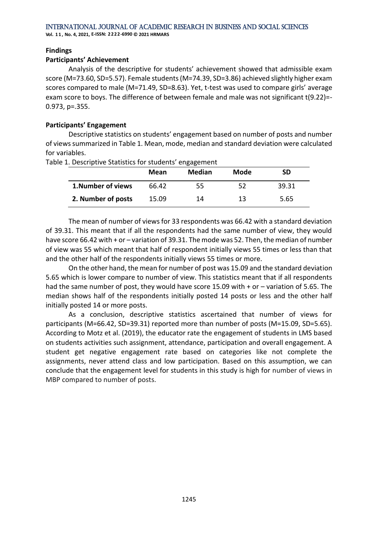**Vol. 1 1 , No. 4, 2021, E-ISSN: 2222-6990 © 2021 HRMARS**

#### **Findings**

#### **Participants' Achievement**

Analysis of the descriptive for students' achievement showed that admissible exam score (M=73.60, SD=5.57). Female students (M=74.39, SD=3.86) achieved slightly higher exam scores compared to male (M=71.49, SD=8.63). Yet, t-test was used to compare girls' average exam score to boys. The difference of between female and male was not significant t(9.22)=- 0.973, p=.355.

#### **Participants' Engagement**

Descriptive statistics on students' engagement based on number of posts and number of views summarized in Table 1. Mean, mode, median and standard deviation were calculated for variables.

|                    | Mean  | <b>Median</b> | Mode | SD    |
|--------------------|-------|---------------|------|-------|
| 1. Number of views | 66.42 | 55            | 52   | 39.31 |
| 2. Number of posts | 15.09 | 14            | 13   | 5.65  |

Table 1. Descriptive Statistics for students' engagement

The mean of number of views for 33 respondents was 66.42 with a standard deviation of 39.31. This meant that if all the respondents had the same number of view, they would have score 66.42 with + or – variation of 39.31. The mode was 52. Then, the median of number of view was 55 which meant that half of respondent initially views 55 times or less than that and the other half of the respondents initially views 55 times or more.

On the other hand, the mean for number of post was 15.09 and the standard deviation 5.65 which is lower compare to number of view. This statistics meant that if all respondents had the same number of post, they would have score 15.09 with + or – variation of 5.65. The median shows half of the respondents initially posted 14 posts or less and the other half initially posted 14 or more posts.

As a conclusion, descriptive statistics ascertained that number of views for participants (M=66.42, SD=39.31) reported more than number of posts (M=15.09, SD=5.65). According to Motz et al. (2019), the educator rate the engagement of students in LMS based on students activities such assignment, attendance, participation and overall engagement. A student get negative engagement rate based on categories like not complete the assignments, never attend class and low participation. Based on this assumption, we can conclude that the engagement level for students in this study is high for number of views in MBP compared to number of posts.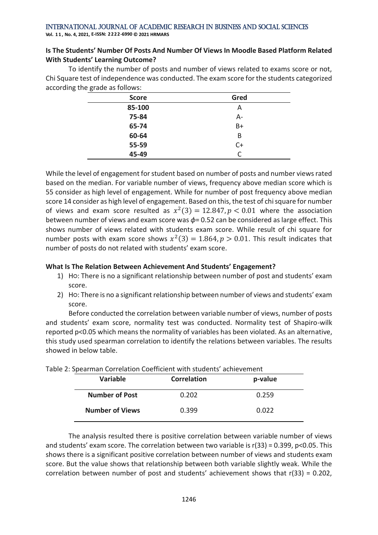**Vol. 1 1 , No. 4, 2021, E-ISSN: 2222-6990 © 2021 HRMARS**

# **Is The Students' Number Of Posts And Number Of Views In Moodle Based Platform Related With Students' Learning Outcome?**

To identify the number of posts and number of views related to exams score or not, Chi Square test of independence was conducted. The exam score for the students categorized according the grade as follows:

| <b>Score</b> | Gred      |
|--------------|-----------|
| 85-100       | A         |
| 75-84        | $A -$     |
| 65-74        | B+        |
| 60-64        | B         |
| 55-59        | $C+$      |
| 45-49        | $\subset$ |

While the level of engagement for student based on number of posts and number views rated based on the median. For variable number of views, frequency above median score which is 55 consider as high level of engagement. While for number of post frequency above median score 14 consider as high level of engagement. Based on this, the test of chi square for number of views and exam score resulted as  $x^2(3) = 12.847$ ,  $p < 0.01$  where the association between number of views and exam score was *ɸ*= 0.52 can be considered as large effect. This shows number of views related with students exam score. While result of chi square for number posts with exam score shows  $x^2(3) = 1.864, p > 0.01$ . This result indicates that number of posts do not related with students' exam score.

# **What Is The Relation Between Achievement And Students' Engagement?**

- 1) Ho: There is no a significant relationship between number of post and students' exam score.
- 2) Ho: There is no a significant relationship between number of views and students' exam score.

Before conducted the correlation between variable number of views, number of posts and students' exam score, normality test was conducted. Normality test of Shapiro-wilk reported p<0.05 which means the normality of variables has been violated. As an alternative, this study used spearman correlation to identify the relations between variables. The results showed in below table.

| <b>Variable</b>        | <b>Correlation</b> | p-value |  |  |
|------------------------|--------------------|---------|--|--|
| <b>Number of Post</b>  | 0.202              | 0.259   |  |  |
| <b>Number of Views</b> | 0.399              | 0.022   |  |  |

| Table 2: Spearman Correlation Coefficient with students' achievement |  |  |
|----------------------------------------------------------------------|--|--|
|                                                                      |  |  |

The analysis resulted there is positive correlation between variable number of views and students' exam score. The correlation between two variable is r(33) = 0.399, p<0.05. This shows there is a significant positive correlation between number of views and students exam score. But the value shows that relationship between both variable slightly weak. While the correlation between number of post and students' achievement shows that r(33) = 0.202,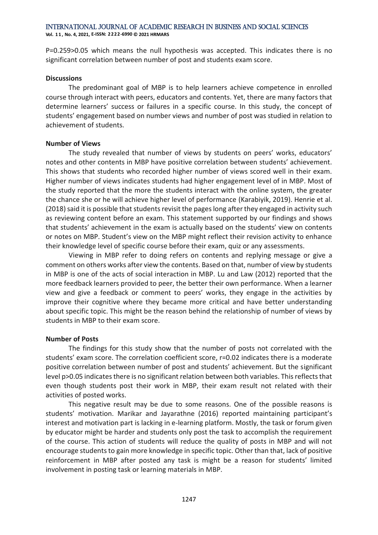**Vol. 1 1 , No. 4, 2021, E-ISSN: 2222-6990 © 2021 HRMARS**

P=0.259>0.05 which means the null hypothesis was accepted. This indicates there is no significant correlation between number of post and students exam score.

#### **Discussions**

The predominant goal of MBP is to help learners achieve competence in enrolled course through interact with peers, educators and contents. Yet, there are many factors that determine learners' success or failures in a specific course. In this study, the concept of students' engagement based on number views and number of post was studied in relation to achievement of students.

#### **Number of Views**

The study revealed that number of views by students on peers' works, educators' notes and other contents in MBP have positive correlation between students' achievement. This shows that students who recorded higher number of views scored well in their exam. Higher number of views indicates students had higher engagement level of in MBP. Most of the study reported that the more the students interact with the online system, the greater the chance she or he will achieve higher level of performance (Karabiyik, 2019). Henrie et al. (2018) said it is possible that students revisit the pages long after they engaged in activity such as reviewing content before an exam. This statement supported by our findings and shows that students' achievement in the exam is actually based on the students' view on contents or notes on MBP. Student's view on the MBP might reflect their revision activity to enhance their knowledge level of specific course before their exam, quiz or any assessments.

Viewing in MBP refer to doing refers on contents and replying message or give a comment on others works after view the contents. Based on that, number of view by students in MBP is one of the acts of social interaction in MBP. Lu and Law (2012) reported that the more feedback learners provided to peer, the better their own performance. When a learner view and give a feedback or comment to peers' works, they engage in the activities by improve their cognitive where they became more critical and have better understanding about specific topic. This might be the reason behind the relationship of number of views by students in MBP to their exam score.

#### **Number of Posts**

The findings for this study show that the number of posts not correlated with the students' exam score. The correlation coefficient score, r=0.02 indicates there is a moderate positive correlation between number of post and students' achievement. But the significant level p>0.05 indicates there is no significant relation between both variables. This reflects that even though students post their work in MBP, their exam result not related with their activities of posted works.

This negative result may be due to some reasons. One of the possible reasons is students' motivation. Marikar and Jayarathne (2016) reported maintaining participant's interest and motivation part is lacking in e-learning platform. Mostly, the task or forum given by educator might be harder and students only post the task to accomplish the requirement of the course. This action of students will reduce the quality of posts in MBP and will not encourage students to gain more knowledge in specific topic. Other than that, lack of positive reinforcement in MBP after posted any task is might be a reason for students' limited involvement in posting task or learning materials in MBP.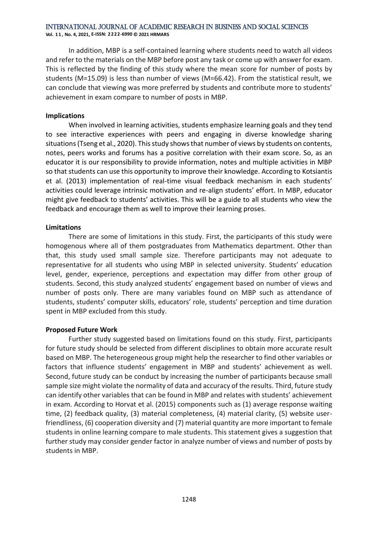**Vol. 1 1 , No. 4, 2021, E-ISSN: 2222-6990 © 2021 HRMARS**

In addition, MBP is a self-contained learning where students need to watch all videos and refer to the materials on the MBP before post any task or come up with answer for exam. This is reflected by the finding of this study where the mean score for number of posts by students (M=15.09) is less than number of views (M=66.42). From the statistical result, we can conclude that viewing was more preferred by students and contribute more to students' achievement in exam compare to number of posts in MBP.

#### **Implications**

When involved in learning activities, students emphasize learning goals and they tend to see interactive experiences with peers and engaging in diverse knowledge sharing situations (Tseng et al., 2020). This study shows that number of views by students on contents, notes, peers works and forums has a positive correlation with their exam score. So, as an educator it is our responsibility to provide information, notes and multiple activities in MBP so that students can use this opportunity to improve their knowledge. According to Kotsiantis et al. (2013) implementation of real-time visual feedback mechanism in each students' activities could leverage intrinsic motivation and re-align students' effort. In MBP, educator might give feedback to students' activities. This will be a guide to all students who view the feedback and encourage them as well to improve their learning proses.

#### **Limitations**

There are some of limitations in this study. First, the participants of this study were homogenous where all of them postgraduates from Mathematics department. Other than that, this study used small sample size. Therefore participants may not adequate to representative for all students who using MBP in selected university. Students' education level, gender, experience, perceptions and expectation may differ from other group of students. Second, this study analyzed students' engagement based on number of views and number of posts only. There are many variables found on MBP such as attendance of students, students' computer skills, educators' role, students' perception and time duration spent in MBP excluded from this study.

#### **Proposed Future Work**

Further study suggested based on limitations found on this study. First, participants for future study should be selected from different disciplines to obtain more accurate result based on MBP. The heterogeneous group might help the researcher to find other variables or factors that influence students' engagement in MBP and students' achievement as well. Second, future study can be conduct by increasing the number of participants because small sample size might violate the normality of data and accuracy of the results. Third, future study can identify other variables that can be found in MBP and relates with students' achievement in exam. According to Horvat et al. (2015) components such as (1) average response waiting time, (2) feedback quality, (3) material completeness, (4) material clarity, (5) website userfriendliness, (6) cooperation diversity and (7) material quantity are more important to female students in online learning compare to male students. This statement gives a suggestion that further study may consider gender factor in analyze number of views and number of posts by students in MBP.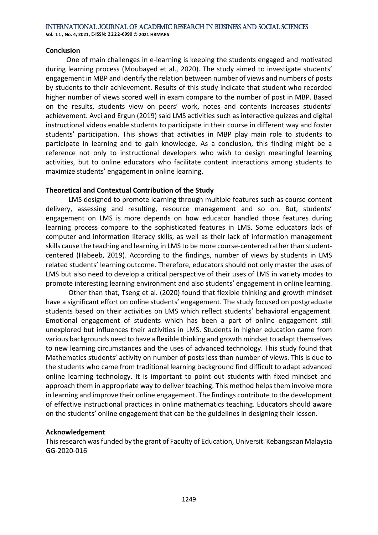#### **Conclusion**

 One of main challenges in e-learning is keeping the students engaged and motivated during learning process (Moubayed et al., 2020). The study aimed to investigate students' engagement in MBP and identify the relation between number of views and numbers of posts by students to their achievement. Results of this study indicate that student who recorded higher number of views scored well in exam compare to the number of post in MBP. Based on the results, students view on peers' work, notes and contents increases students' achievement. Avci and Ergun (2019) said LMS activities such as interactive quizzes and digital instructional videos enable students to participate in their course in different way and foster students' participation. This shows that activities in MBP play main role to students to participate in learning and to gain knowledge. As a conclusion, this finding might be a reference not only to instructional developers who wish to design meaningful learning activities, but to online educators who facilitate content interactions among students to maximize students' engagement in online learning.

### **Theoretical and Contextual Contribution of the Study**

LMS designed to promote learning through multiple features such as course content delivery, assessing and resulting, resource management and so on. But, students' engagement on LMS is more depends on how educator handled those features during learning process compare to the sophisticated features in LMS. Some educators lack of computer and information literacy skills, as well as their lack of information management skills cause the teaching and learning in LMS to be more course-centered rather than studentcentered (Habeeb, 2019). According to the findings, number of views by students in LMS related students' learning outcome. Therefore, educators should not only master the uses of LMS but also need to develop a critical perspective of their uses of LMS in variety modes to promote interesting learning environment and also students' engagement in online learning.

Other than that, Tseng et al. (2020) found that flexible thinking and growth mindset have a significant effort on online students' engagement. The study focused on postgraduate students based on their activities on LMS which reflect students' behavioral engagement. Emotional engagement of students which has been a part of online engagement still unexplored but influences their activities in LMS. Students in higher education came from various backgrounds need to have a flexible thinking and growth mindset to adapt themselves to new learning circumstances and the uses of advanced technology. This study found that Mathematics students' activity on number of posts less than number of views. This is due to the students who came from traditional learning background find difficult to adapt advanced online learning technology. It is important to point out students with fixed mindset and approach them in appropriate way to deliver teaching. This method helps them involve more in learning and improve their online engagement. The findings contribute to the development of effective instructional practices in online mathematics teaching. Educators should aware on the students' online engagement that can be the guidelines in designing their lesson.

# **Acknowledgement**

This research was funded by the grant of Faculty of Education, Universiti Kebangsaan Malaysia GG-2020-016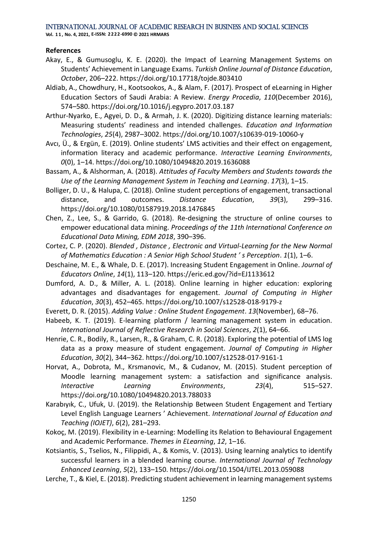**Vol. 1 1 , No. 4, 2021, E-ISSN: 2222-6990 © 2021 HRMARS**

#### **References**

- Akay, E., & Gumusoglu, K. E. (2020). the Impact of Learning Management Systems on Students' Achievement in Language Exams. *Turkish Online Journal of Distance Education*, *October*, 206–222. https://doi.org/10.17718/tojde.803410
- Aldiab, A., Chowdhury, H., Kootsookos, A., & Alam, F. (2017). Prospect of eLearning in Higher Education Sectors of Saudi Arabia: A Review. *Energy Procedia*, *110*(December 2016), 574–580. https://doi.org/10.1016/j.egypro.2017.03.187
- Arthur-Nyarko, E., Agyei, D. D., & Armah, J. K. (2020). Digitizing distance learning materials: Measuring students' readiness and intended challenges. *Education and Information Technologies*, *25*(4), 2987–3002. https://doi.org/10.1007/s10639-019-10060-y
- Avcı, Ü., & Ergün, E. (2019). Online students' LMS activities and their effect on engagement, information literacy and academic performance. *Interactive Learning Environments*, *0*(0), 1–14. https://doi.org/10.1080/10494820.2019.1636088
- Bassam, A., & Alshorman, A. (2018). *Attitudes of Faculty Members and Students towards the Use of the Learning Management System in Teaching and Learning*. *17*(3), 1–15.
- Bolliger, D. U., & Halupa, C. (2018). Online student perceptions of engagement, transactional distance, and outcomes. *Distance Education*, *39*(3), 299–316. https://doi.org/10.1080/01587919.2018.1476845
- Chen, Z., Lee, S., & Garrido, G. (2018). Re-designing the structure of online courses to empower educational data mining. *Proceedings of the 11th International Conference on Educational Data Mining, EDM 2018*, 390–396.
- Cortez, C. P. (2020). *Blended , Distance , Electronic and Virtual-Learning for the New Normal of Mathematics Education : A Senior High School Student ' s Perception*. *1*(1), 1–6.
- Deschaine, M. E., & Whale, D. E. (2017). Increasing Student Engagement in Online. *Journal of Educators Online*, *14*(1), 113–120. https://eric.ed.gov/?id=EJ1133612
- Dumford, A. D., & Miller, A. L. (2018). Online learning in higher education: exploring advantages and disadvantages for engagement. *Journal of Computing in Higher Education*, *30*(3), 452–465. https://doi.org/10.1007/s12528-018-9179-z
- Everett, D. R. (2015). *Adding Value : Online Student Engagement*. *13*(November), 68–76.
- Habeeb, K. T. (2019). E-learning platform / learning management system in education. *International Journal of Reflective Research in Social Sciences*, *2*(1), 64–66.
- Henrie, C. R., Bodily, R., Larsen, R., & Graham, C. R. (2018). Exploring the potential of LMS log data as a proxy measure of student engagement. *Journal of Computing in Higher Education*, *30*(2), 344–362. https://doi.org/10.1007/s12528-017-9161-1
- Horvat, A., Dobrota, M., Krsmanovic, M., & Cudanov, M. (2015). Student perception of Moodle learning management system: a satisfaction and significance analysis. *Interactive Learning Environments*, *23*(4), 515–527. https://doi.org/10.1080/10494820.2013.788033
- Karabıyık, C., Ufuk, U. (2019). the Relationship Between Student Engagement and Tertiary Level English Language Learners ' Achievement. *International Journal of Education and Teaching (IOJET)*, *6*(2), 281–293.
- Kokoç, M. (2019). Flexibility in e-Learning: Modelling its Relation to Behavioural Engagement and Academic Performance. *Themes in ELearning*, *12*, 1–16.
- Kotsiantis, S., Tselios, N., Filippidi, A., & Komis, V. (2013). Using learning analytics to identify successful learners in a blended learning course. *International Journal of Technology Enhanced Learning*, *5*(2), 133–150. https://doi.org/10.1504/IJTEL.2013.059088
- Lerche, T., & Kiel, E. (2018). Predicting student achievement in learning management systems